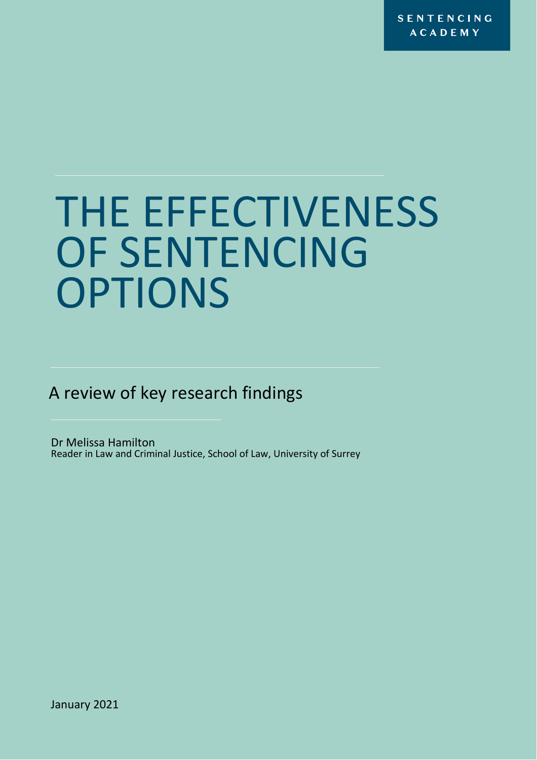**SENTENCING ACADEMY** 

# THE EFFECTIVENESS OF SENTENCING **OPTIONS**

A review of key research findings

Dr Melissa Hamilton Reader in Law and Criminal Justice, School of Law, University of Surrey

January 2021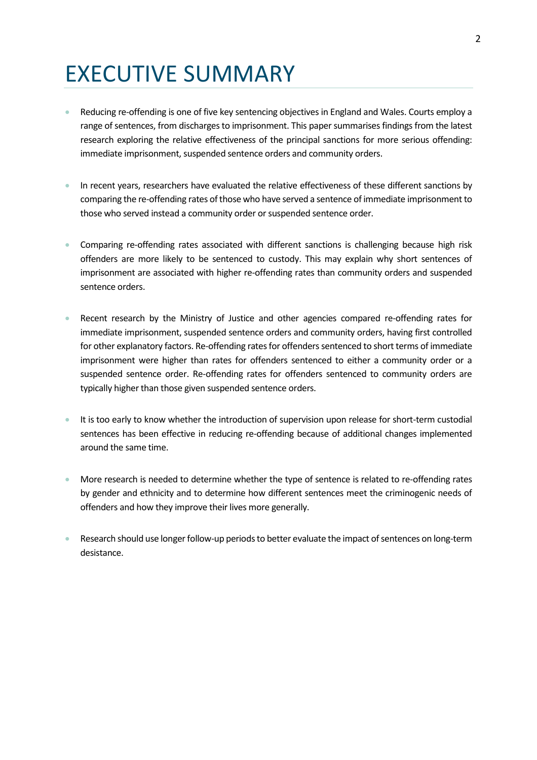## EXECUTIVE SUMMARY

- Reducing re-offending is one of five key sentencing objectives in England and Wales. Courts employ a range of sentences, from discharges to imprisonment. This paper summarises findings from the latest research exploring the relative effectiveness of the principal sanctions for more serious offending: immediate imprisonment, suspended sentence orders and community orders.
- In recent years, researchers have evaluated the relative effectiveness of these different sanctions by comparing the re-offending rates of those who have served a sentence of immediate imprisonment to those who served instead a community order or suspended sentence order.
- Comparing re-offending rates associated with different sanctions is challenging because high risk offenders are more likely to be sentenced to custody. This may explain why short sentences of imprisonment are associated with higher re-offending rates than community orders and suspended sentence orders.
- Recent research by the Ministry of Justice and other agencies compared re-offending rates for immediate imprisonment, suspended sentence orders and community orders, having first controlled for other explanatory factors. Re-offending rates for offenders sentenced to short terms of immediate imprisonment were higher than rates for offenders sentenced to either a community order or a suspended sentence order. Re-offending rates for offenders sentenced to community orders are typically higher than those given suspended sentence orders.
- It is too early to know whether the introduction of supervision upon release for short-term custodial sentences has been effective in reducing re-offending because of additional changes implemented around the same time.
- More research is needed to determine whether the type of sentence is related to re-offending rates by gender and ethnicity and to determine how different sentences meet the criminogenic needs of offenders and how they improve their lives more generally.
- Research should use longer follow-up periods to better evaluate the impact of sentences on long-term desistance.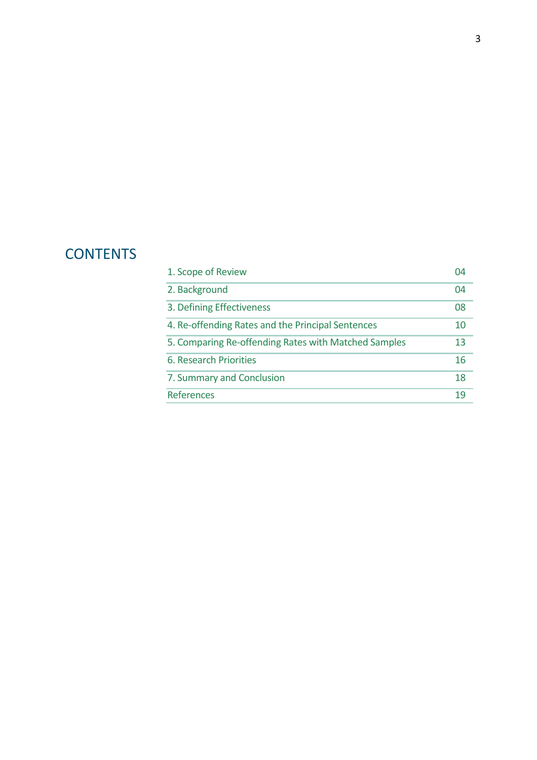### **CONTENTS**

| 1. Scope of Review                                   |    |
|------------------------------------------------------|----|
| 2. Background                                        | 04 |
| 3. Defining Effectiveness                            | 08 |
| 4. Re-offending Rates and the Principal Sentences    | 10 |
| 5. Comparing Re-offending Rates with Matched Samples | 13 |
| 6. Research Priorities                               | 16 |
| 7. Summary and Conclusion                            | 18 |
| <b>References</b>                                    | 19 |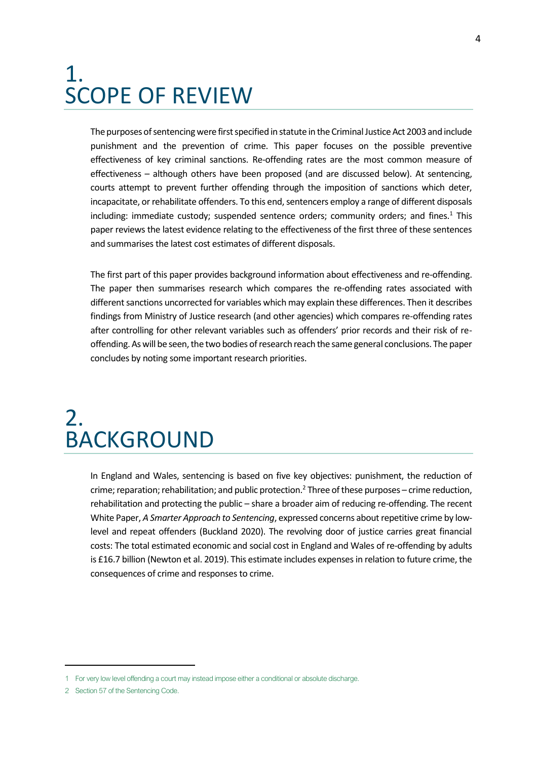### <span id="page-3-0"></span>1. SCOPE OF REVIEW

The purposes of sentencing were first specified in statute in the Criminal Justice Act 2003 and include punishment and the prevention of crime. This paper focuses on the possible preventive effectiveness of key criminal sanctions. Re-offending rates are the most common measure of effectiveness – although others have been proposed (and are discussed below). At sentencing, courts attempt to prevent further offending through the imposition of sanctions which deter, incapacitate, or rehabilitate offenders. To this end, sentencers employ a range of different disposals including: immediate custody; suspended sentence orders; community orders; and fines. $1$  This paper reviews the latest evidence relating to the effectiveness of the first three of these sentences and summarises the latest cost estimates of different disposals.

The first part of this paper provides background information about effectiveness and re-offending. The paper then summarises research which compares the re-offending rates associated with different sanctions uncorrected for variables which may explain these differences. Then it describes findings from Ministry of Justice research (and other agencies) which compares re-offending rates after controlling for other relevant variables such as offenders' prior records and their risk of reoffending. As will be seen, the two bodies of research reach the same general conclusions. The paper concludes by noting some important research priorities.

### <span id="page-3-1"></span>2. BACKGROUND

In England and Wales, sentencing is based on five key objectives: punishment, the reduction of crime; reparation; rehabilitation; and public protection.<sup>2</sup> Three of these purposes – crime reduction, rehabilitation and protecting the public – share a broader aim of reducing re-offending. The recent White Paper, *A Smarter Approach to Sentencing*, expressed concerns about repetitive crime by lowlevel and repeat offenders (Buckland 2020). The revolving door of justice carries great financial costs: The total estimated economic and social cost in England and Wales of re-offending by adults is £16.7 billion (Newton et al. 2019). This estimate includes expenses in relation to future crime, the consequences of crime and responses to crime.

<sup>1</sup> For very low level offending a court may instead impose either a conditional or absolute discharge.

<sup>2</sup> Section 57 of the Sentencing Code.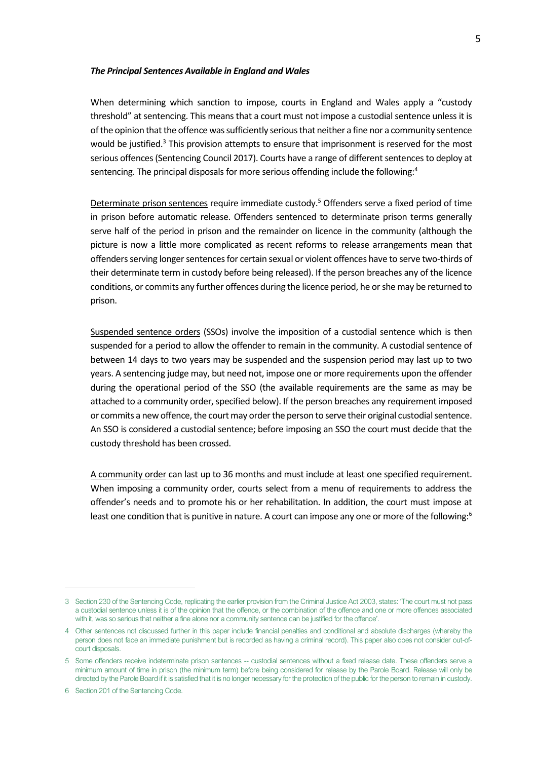#### *The Principal Sentences Available in England and Wales*

When determining which sanction to impose, courts in England and Wales apply a "custody threshold" at sentencing. This means that a court must not impose a custodial sentence unless it is of the opinion that the offence was sufficiently serious that neither a fine nor a community sentence would be justified.<sup>3</sup> This provision attempts to ensure that imprisonment is reserved for the most serious offences (Sentencing Council 2017). Courts have a range of different sentences to deploy at sentencing. The principal disposals for more serious offending include the following:<sup>4</sup>

Determinate prison sentences require immediate custody.<sup>5</sup> Offenders serve a fixed period of time in prison before automatic release. Offenders sentenced to determinate prison terms generally serve half of the period in prison and the remainder on licence in the community (although the picture is now a little more complicated as recent reforms to release arrangements mean that offenders serving longer sentences for certain sexual or violent offences have to serve two-thirds of their determinate term in custody before being released). If the person breaches any of the licence conditions, or commits any further offences during the licence period, he or she may be returned to prison.

Suspended sentence orders (SSOs) involve the imposition of a custodial sentence which is then suspended for a period to allow the offender to remain in the community. A custodial sentence of between 14 days to two years may be suspended and the suspension period may last up to two years. A sentencing judge may, but need not, impose one or more requirements upon the offender during the operational period of the SSO (the available requirements are the same as may be attached to a community order, specified below). If the person breaches any requirement imposed or commits a new offence, the court may order the person to serve their original custodial sentence. An SSO is considered a custodial sentence; before imposing an SSO the court must decide that the custody threshold has been crossed.

A community order can last up to 36 months and must include at least one specified requirement. When imposing a community order, courts select from a menu of requirements to address the offender's needs and to promote his or her rehabilitation. In addition, the court must impose at least one condition that is punitive in nature. A court can impose any one or more of the following:<sup>6</sup>

<sup>3</sup> Section 230 of the Sentencing Code, replicating the earlier provision from the Criminal Justice Act 2003, states: 'The court must not pass a custodial sentence unless it is of the opinion that the offence, or the combination of the offence and one or more offences associated with it, was so serious that neither a fine alone nor a community sentence can be justified for the offence'.

<sup>4</sup> Other sentences not discussed further in this paper include financial penalties and conditional and absolute discharges (whereby the person does not face an immediate punishment but is recorded as having a criminal record). This paper also does not consider out-ofcourt disposals.

<sup>5</sup> Some offenders receive indeterminate prison sentences -- custodial sentences without a fixed release date. These offenders serve a minimum amount of time in prison (the minimum term) before being considered for release by the Parole Board. Release will only be directed by the Parole Board if it is satisfied that it is no longer necessary for the protection of the public for the person to remain in custody.

<sup>6</sup> Section 201 of the Sentencing Code.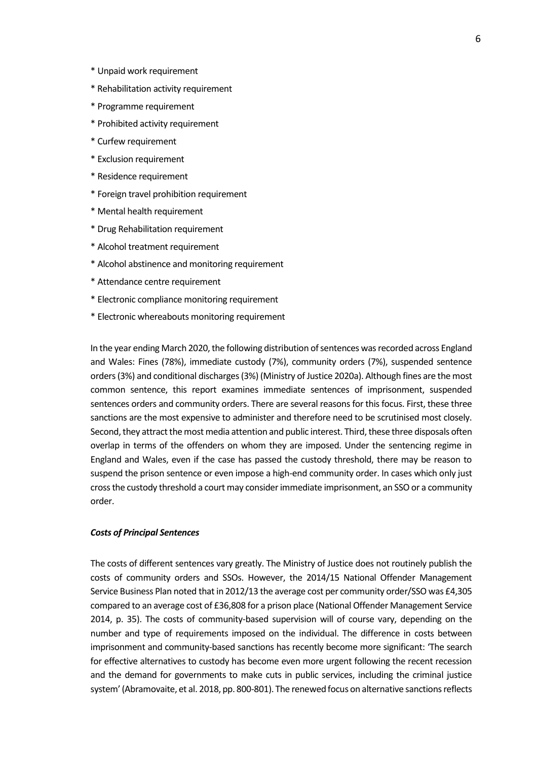- \* Unpaid work requirement
- \* Rehabilitation activity requirement
- \* Programme requirement
- \* Prohibited activity requirement
- \* Curfew requirement
- \* Exclusion requirement
- \* Residence requirement
- \* Foreign travel prohibition requirement
- \* Mental health requirement
- \* Drug Rehabilitation requirement
- \* Alcohol treatment requirement
- \* Alcohol abstinence and monitoring requirement
- \* Attendance centre requirement
- \* Electronic compliance monitoring requirement
- \* Electronic whereabouts monitoring requirement

In the year ending March 2020, the following distribution of sentences was recorded across England and Wales: Fines (78%), immediate custody (7%), community orders (7%), suspended sentence orders (3%) and conditional discharges (3%) (Ministry of Justice 2020a). Although fines are the most common sentence, this report examines immediate sentences of imprisonment, suspended sentences orders and community orders. There are several reasons for this focus. First, these three sanctions are the most expensive to administer and therefore need to be scrutinised most closely. Second, they attract the most media attention and public interest. Third, these three disposals often overlap in terms of the offenders on whom they are imposed. Under the sentencing regime in England and Wales, even if the case has passed the custody threshold, there may be reason to suspend the prison sentence or even impose a high-end community order. In cases which only just cross the custody threshold a court may consider immediate imprisonment, an SSO or a community order.

#### *Costs of Principal Sentences*

The costs of different sentences vary greatly. The Ministry of Justice does not routinely publish the costs of community orders and SSOs. However, the 2014/15 National Offender Management Service Business Plan noted that in 2012/13 the average cost per community order/SSO was £4,305 compared to an average cost of £36,808 for a prison place (National Offender Management Service 2014, p. 35). The costs of community-based supervision will of course vary, depending on the number and type of requirements imposed on the individual. The difference in costs between imprisonment and community-based sanctions has recently become more significant: 'The search for effective alternatives to custody has become even more urgent following the recent recession and the demand for governments to make cuts in public services, including the criminal justice system' (Abramovaite, et al. 2018, pp. 800-801). The renewed focus on alternative sanctions reflects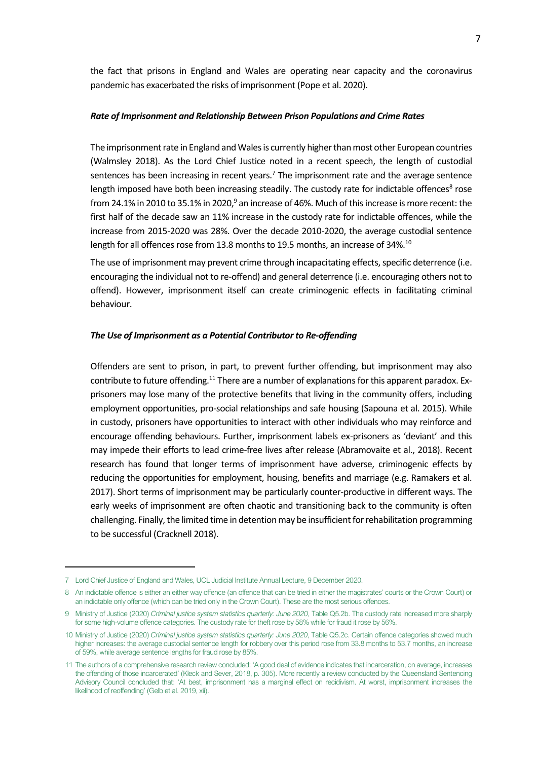the fact that prisons in England and Wales are operating near capacity and the coronavirus pandemic has exacerbated the risks of imprisonment (Pope et al. 2020).

#### *Rate of Imprisonment and Relationship Between Prison Populations and Crime Rates*

The imprisonment rate in England and Wales is currently higher than most other European countries (Walmsley 2018). As the Lord Chief Justice noted in a recent speech, the length of custodial sentences has been increasing in recent years.<sup>7</sup> The imprisonment rate and the average sentence length imposed have both been increasing steadily. The custody rate for indictable offences<sup>8</sup> rose from 24.1% in 2010 to 35.1% in 2020, $9$  an increase of 46%. Much of this increase is more recent: the first half of the decade saw an 11% increase in the custody rate for indictable offences, while the increase from 2015-2020 was 28%. Over the decade 2010-2020, the average custodial sentence length for all offences rose from 13.8 months to 19.5 months, an increase of 34%.<sup>10</sup>

The use of imprisonment may prevent crime through incapacitating effects, specific deterrence (i.e. encouraging the individual not to re-offend) and general deterrence (i.e. encouraging others not to offend). However, imprisonment itself can create criminogenic effects in facilitating criminal behaviour.

#### *The Use of Imprisonment as a Potential Contributor to Re-offending*

Offenders are sent to prison, in part, to prevent further offending, but imprisonment may also contribute to future offending.<sup>11</sup> There are a number of explanations for this apparent paradox. Exprisoners may lose many of the protective benefits that living in the community offers, including employment opportunities, pro-social relationships and safe housing (Sapouna et al. 2015). While in custody, prisoners have opportunities to interact with other individuals who may reinforce and encourage offending behaviours. Further, imprisonment labels ex-prisoners as 'deviant' and this may impede their efforts to lead crime-free lives after release (Abramovaite et al., 2018). Recent research has found that longer terms of imprisonment have adverse, criminogenic effects by reducing the opportunities for employment, housing, benefits and marriage (e.g. Ramakers et al. 2017). Short terms of imprisonment may be particularly counter-productive in different ways. The early weeks of imprisonment are often chaotic and transitioning back to the community is often challenging. Finally, the limited time in detention may be insufficient for rehabilitation programming to be successful (Cracknell 2018).

<sup>7</sup> Lord Chief Justice of England and Wales, UCL Judicial Institute Annual Lecture, 9 December 2020.

<sup>8</sup> An indictable offence is either an either way offence (an offence that can be tried in either the magistrates' courts or the Crown Court) or an indictable only offence (which can be tried only in the Crown Court). These are the most serious offences.

<sup>9</sup> Ministry of Justice (2020) *Criminal justice system statistics quarterly: June 2020*, Table Q5.2b. The custody rate increased more sharply for some high-volume offence categories. The custody rate for theft rose by 58% while for fraud it rose by 56%.

<sup>10</sup> Ministry of Justice (2020) *Criminal justice system statistics quarterly: June 2020*, Table Q5.2c. Certain offence categories showed much higher increases: the average custodial sentence length for robbery over this period rose from 33.8 months to 53.7 months, an increase of 59%, while average sentence lengths for fraud rose by 85%.

<sup>11</sup> The authors of a comprehensive research review concluded: 'A good deal of evidence indicates that incarceration, on average, increases the offending of those incarcerated' (Kleck and Sever, 2018, p. 305). More recently a review conducted by the Queensland Sentencing Advisory Council concluded that: 'At best, imprisonment has a marginal effect on recidivism. At worst, imprisonment increases the likelihood of reoffending' (Gelb et al. 2019, xii).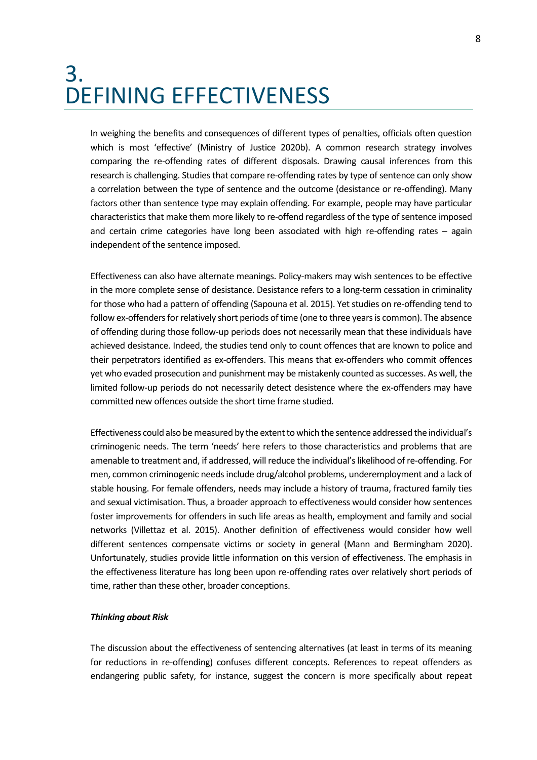### <span id="page-7-0"></span>3. DEFINING EFFECTIVENESS

In weighing the benefits and consequences of different types of penalties, officials often question which is most 'effective' (Ministry of Justice 2020b). A common research strategy involves comparing the re-offending rates of different disposals. Drawing causal inferences from this research is challenging. Studies that compare re-offending rates by type of sentence can only show a correlation between the type of sentence and the outcome (desistance or re-offending). Many factors other than sentence type may explain offending. For example, people may have particular characteristics that make them more likely to re-offend regardless of the type of sentence imposed and certain crime categories have long been associated with high re-offending rates – again independent of the sentence imposed.

Effectiveness can also have alternate meanings. Policy-makers may wish sentences to be effective in the more complete sense of desistance. Desistance refers to a long-term cessation in criminality for those who had a pattern of offending (Sapouna et al. 2015). Yet studies on re-offending tend to follow ex-offenders for relatively short periods of time (one to three years is common). The absence of offending during those follow-up periods does not necessarily mean that these individuals have achieved desistance. Indeed, the studies tend only to count offences that are known to police and their perpetrators identified as ex-offenders. This means that ex-offenders who commit offences yet who evaded prosecution and punishment may be mistakenly counted as successes. As well, the limited follow-up periods do not necessarily detect desistence where the ex-offenders may have committed new offences outside the short time frame studied.

Effectiveness could also be measured by the extent to which the sentence addressed the individual's criminogenic needs. The term 'needs' here refers to those characteristics and problems that are amenable to treatment and, if addressed, will reduce the individual's likelihood of re-offending. For men, common criminogenic needs include drug/alcohol problems, underemployment and a lack of stable housing. For female offenders, needs may include a history of trauma, fractured family ties and sexual victimisation. Thus, a broader approach to effectiveness would consider how sentences foster improvements for offenders in such life areas as health, employment and family and social networks (Villettaz et al. 2015). Another definition of effectiveness would consider how well different sentences compensate victims or society in general (Mann and Bermingham 2020). Unfortunately, studies provide little information on this version of effectiveness. The emphasis in the effectiveness literature has long been upon re-offending rates over relatively short periods of time, rather than these other, broader conceptions.

#### *Thinking about Risk*

The discussion about the effectiveness of sentencing alternatives (at least in terms of its meaning for reductions in re-offending) confuses different concepts. References to repeat offenders as endangering public safety, for instance, suggest the concern is more specifically about repeat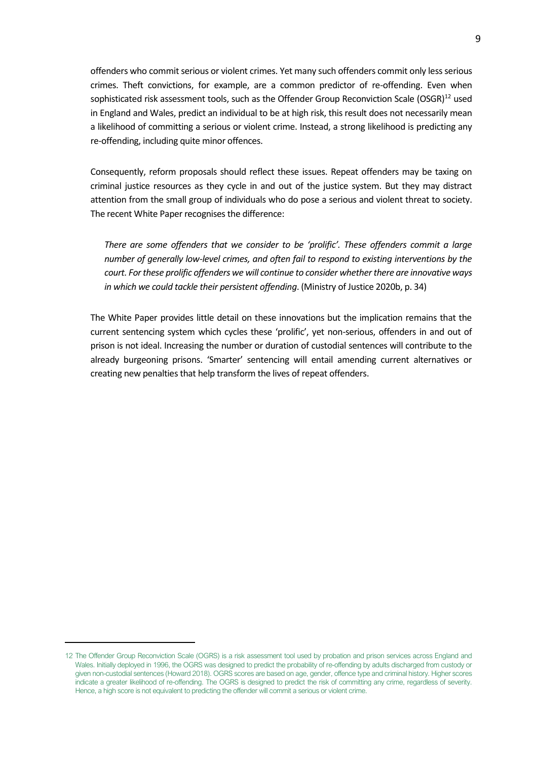offenders who commit serious or violent crimes. Yet many such offenders commit only less serious crimes. Theft convictions, for example, are a common predictor of re-offending. Even when sophisticated risk assessment tools, such as the Offender Group Reconviction Scale (OSGR)<sup>12</sup> used in England and Wales, predict an individual to be at high risk, this result does not necessarily mean a likelihood of committing a serious or violent crime. Instead, a strong likelihood is predicting any re-offending, including quite minor offences.

Consequently, reform proposals should reflect these issues. Repeat offenders may be taxing on criminal justice resources as they cycle in and out of the justice system. But they may distract attention from the small group of individuals who do pose a serious and violent threat to society. The recent White Paper recognises the difference:

*There are some offenders that we consider to be 'prolific'. These offenders commit a large number of generally low-level crimes, and often fail to respond to existing interventions by the court. For these prolific offenders we will continue to consider whether there are innovative ways in which we could tackle their persistent offending*. (Ministry of Justice 2020b, p. 34)

The White Paper provides little detail on these innovations but the implication remains that the current sentencing system which cycles these 'prolific', yet non-serious, offenders in and out of prison is not ideal. Increasing the number or duration of custodial sentences will contribute to the already burgeoning prisons. 'Smarter' sentencing will entail amending current alternatives or creating new penalties that help transform the lives of repeat offenders.

<sup>12</sup> The Offender Group Reconviction Scale (OGRS) is a risk assessment tool used by probation and prison services across England and Wales. Initially deployed in 1996, the OGRS was designed to predict the probability of re-offending by adults discharged from custody or given non-custodial sentences (Howard 2018). OGRS scores are based on age, gender, offence type and criminal history. Higher scores indicate a greater likelihood of re-offending. The OGRS is designed to predict the risk of committing any crime, regardless of severity. Hence, a high score is not equivalent to predicting the offender will commit a serious or violent crime.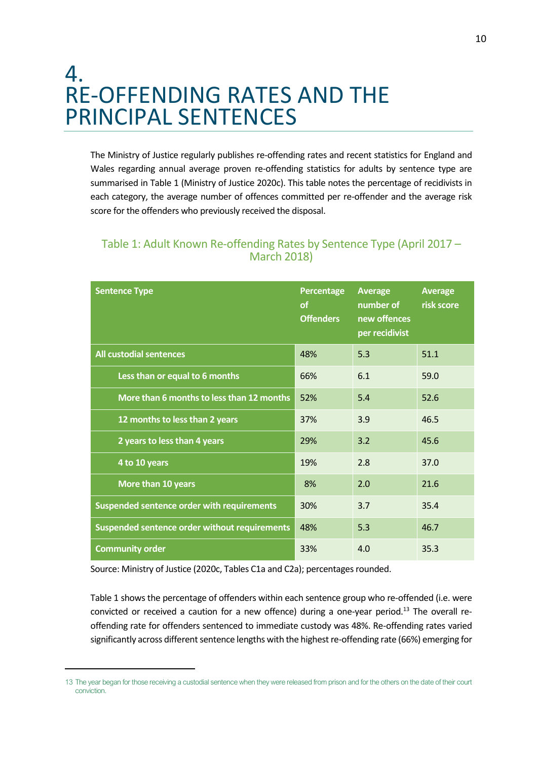### <span id="page-9-0"></span>4. RE-OFFENDING RATES AND THE PRINCIPAL SENTENCES

The Ministry of Justice regularly publishes re-offending rates and recent statistics for England and Wales regarding annual average proven re-offending statistics for adults by sentence type are summarised in Table 1 (Ministry of Justice 2020c). This table notes the percentage of recidivists in each category, the average number of offences committed per re-offender and the average risk score for the offenders who previously received the disposal.

| <b>Sentence Type</b>                          | Percentage<br><sub>of</sub><br><b>Offenders</b> | Average<br>number of<br>new offences<br>per recidivist | <b>Average</b><br>risk score |
|-----------------------------------------------|-------------------------------------------------|--------------------------------------------------------|------------------------------|
| <b>All custodial sentences</b>                | 48%                                             | 5.3                                                    | 51.1                         |
| Less than or equal to 6 months                | 66%                                             | 6.1                                                    | 59.0                         |
| More than 6 months to less than 12 months     | 52%                                             | 5.4                                                    | 52.6                         |
| 12 months to less than 2 years                | 37%                                             | 3.9                                                    | 46.5                         |
| 2 years to less than 4 years                  | 29%                                             | 3.2                                                    | 45.6                         |
| 4 to 10 years                                 | 19%                                             | 2.8                                                    | 37.0                         |
| More than 10 years                            | 8%                                              | 2.0                                                    | 21.6                         |
| Suspended sentence order with requirements    | 30%                                             | 3.7                                                    | 35.4                         |
| Suspended sentence order without requirements | 48%                                             | 5.3                                                    | 46.7                         |
| <b>Community order</b>                        | 33%                                             | 4.0                                                    | 35.3                         |

#### Table 1: Adult Known Re-offending Rates by Sentence Type (April 2017 – March 2018)

Source: Ministry of Justice (2020c, Tables C1a and C2a); percentages rounded.

Table 1 shows the percentage of offenders within each sentence group who re-offended (i.e. were convicted or received a caution for a new offence) during a one-year period.<sup>13</sup> The overall reoffending rate for offenders sentenced to immediate custody was 48%. Re-offending rates varied significantly across different sentence lengths with the highest re-offending rate (66%) emerging for

<sup>13</sup> The year began for those receiving a custodial sentence when they were released from prison and for the others on the date of their court conviction.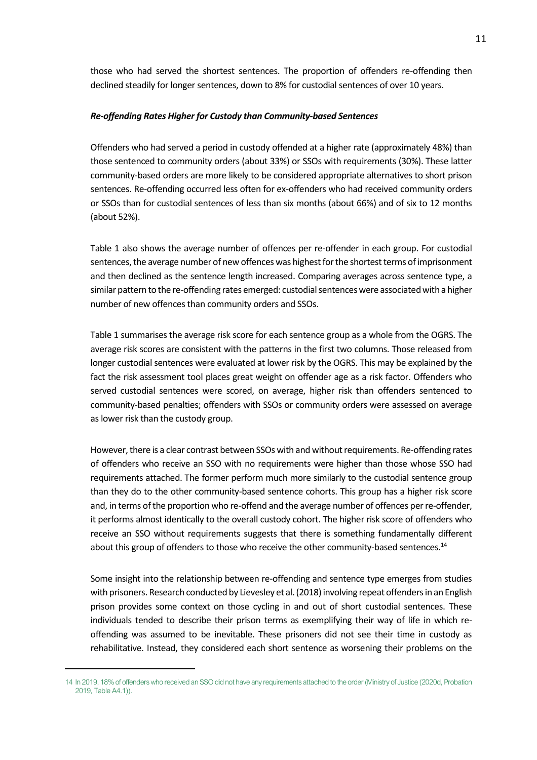those who had served the shortest sentences. The proportion of offenders re-offending then declined steadily for longer sentences, down to 8% for custodial sentences of over 10 years.

#### *Re-offending Rates Higher for Custody than Community-based Sentences*

Offenders who had served a period in custody offended at a higher rate (approximately 48%) than those sentenced to community orders (about 33%) or SSOs with requirements (30%). These latter community-based orders are more likely to be considered appropriate alternatives to short prison sentences. Re-offending occurred less often for ex-offenders who had received community orders or SSOs than for custodial sentences of less than six months (about 66%) and of six to 12 months (about 52%).

Table 1 also shows the average number of offences per re-offender in each group. For custodial sentences, the average number of new offences was highest for the shortest terms of imprisonment and then declined as the sentence length increased. Comparing averages across sentence type, a similar pattern to the re-offending rates emerged: custodial sentences were associated with a higher number of new offences than community orders and SSOs.

Table 1 summarises the average risk score for each sentence group as a whole from the OGRS. The average risk scores are consistent with the patterns in the first two columns. Those released from longer custodial sentences were evaluated at lower risk by the OGRS. This may be explained by the fact the risk assessment tool places great weight on offender age as a risk factor. Offenders who served custodial sentences were scored, on average, higher risk than offenders sentenced to community-based penalties; offenders with SSOs or community orders were assessed on average as lower risk than the custody group.

However, there is a clear contrast between SSOs with and without requirements. Re-offending rates of offenders who receive an SSO with no requirements were higher than those whose SSO had requirements attached. The former perform much more similarly to the custodial sentence group than they do to the other community-based sentence cohorts. This group has a higher risk score and, in terms of the proportion who re-offend and the average number of offences per re-offender, it performs almost identically to the overall custody cohort. The higher risk score of offenders who receive an SSO without requirements suggests that there is something fundamentally different about this group of offenders to those who receive the other community-based sentences.<sup>14</sup>

Some insight into the relationship between re-offending and sentence type emerges from studies with prisoners. Research conducted by Lievesley et al. (2018) involving repeat offenders in an English prison provides some context on those cycling in and out of short custodial sentences. These individuals tended to describe their prison terms as exemplifying their way of life in which reoffending was assumed to be inevitable. These prisoners did not see their time in custody as rehabilitative. Instead, they considered each short sentence as worsening their problems on the

<sup>14</sup> In 2019, 18% of offenders who received an SSO did not have any requirements attached to the order (Ministry of Justice (2020d, Probation 2019, Table A4.1)).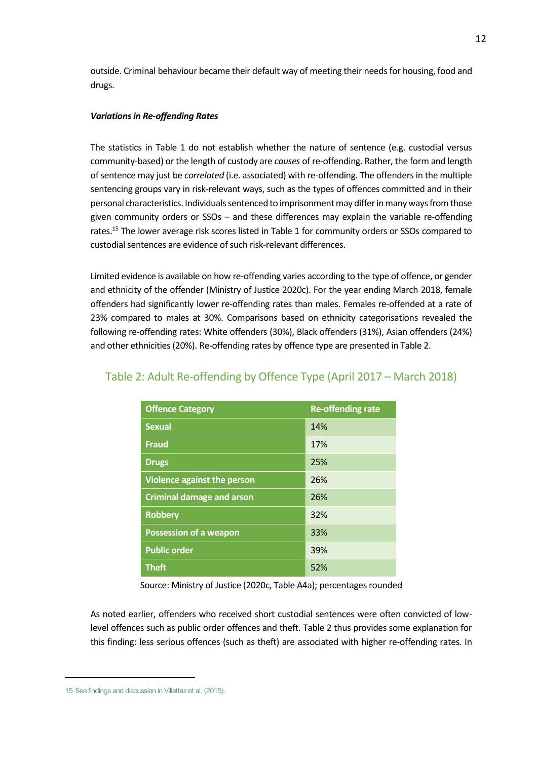outside. Criminal behaviour became their default way of meeting their needs for housing, food and drugs.

#### *Variations in Re-offending Rates*

The statistics in Table 1 do not establish whether the nature of sentence (e.g. custodial versus community-based) or the length of custody are *causes* of re-offending. Rather, the form and length of sentence may just be *correlated* (i.e. associated) with re-offending. The offenders in the multiple sentencing groups vary in risk-relevant ways, such as the types of offences committed and in their personal characteristics. Individuals sentenced to imprisonment may differ in many ways from those given community orders or SSOs – and these differences may explain the variable re-offending rates.<sup>15</sup> The lower average risk scores listed in Table 1 for community orders or SSOs compared to custodial sentences are evidence of such risk-relevant differences.

Limited evidence is available on how re-offending varies according to the type of offence, or gender and ethnicity of the offender (Ministry of Justice 2020c). For the year ending March 2018, female offenders had significantly lower re-offending rates than males. Females re-offended at a rate of 23% compared to males at 30%. Comparisons based on ethnicity categorisations revealed the following re-offending rates: White offenders (30%), Black offenders (31%), Asian offenders (24%) and other ethnicities(20%). Re-offending rates by offence type are presented in Table 2.

| <b>Offence Category</b>            | <b>Re-offending rate</b> |
|------------------------------------|--------------------------|
| <b>Sexual</b>                      | 14%                      |
| <b>Fraud</b>                       | 17%                      |
| <b>Drugs</b>                       | 25%                      |
| <b>Violence against the person</b> | 26%                      |
| <b>Criminal damage and arson</b>   | 26%                      |
| <b>Robbery</b>                     | 32%                      |
| <b>Possession of a weapon</b>      | 33%                      |
| <b>Public order</b>                | 39%                      |
| <b>Theft</b>                       | 52%                      |

#### Table 2: Adult Re-offending by Offence Type (April 2017 – March 2018)

Source: Ministry of Justice (2020c, Table A4a); percentages rounded

As noted earlier, offenders who received short custodial sentences were often convicted of lowlevel offences such as public order offences and theft. Table 2 thus provides some explanation for this finding: less serious offences (such as theft) are associated with higher re-offending rates. In

<sup>15</sup> See findings and discussion in Villettaz et al. (2015).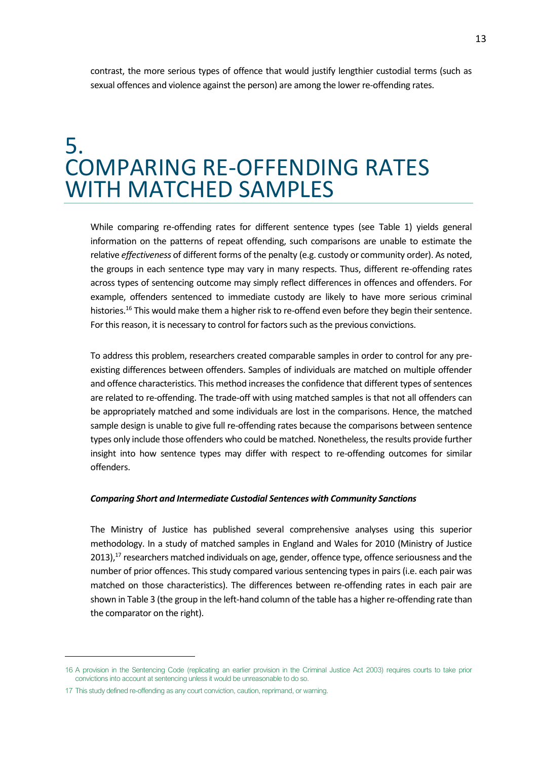contrast, the more serious types of offence that would justify lengthier custodial terms (such as sexual offences and violence against the person) are among the lower re-offending rates.

### <span id="page-12-0"></span>5. COMPARING RE-OFFENDING RATES WITH MATCHED SAMPLES

While comparing re-offending rates for different sentence types (see Table 1) yields general information on the patterns of repeat offending, such comparisons are unable to estimate the relative *effectiveness* of different forms of the penalty (e.g. custody or community order). As noted, the groups in each sentence type may vary in many respects. Thus, different re-offending rates across types of sentencing outcome may simply reflect differences in offences and offenders. For example, offenders sentenced to immediate custody are likely to have more serious criminal histories.<sup>16</sup> This would make them a higher risk to re-offend even before they begin their sentence. For this reason, it is necessary to control for factors such as the previous convictions.

To address this problem, researchers created comparable samples in order to control for any preexisting differences between offenders. Samples of individuals are matched on multiple offender and offence characteristics. This method increases the confidence that different types of sentences are related to re-offending. The trade-off with using matched samples is that not all offenders can be appropriately matched and some individuals are lost in the comparisons. Hence, the matched sample design is unable to give full re-offending rates because the comparisons between sentence types only include those offenders who could be matched. Nonetheless, the results provide further insight into how sentence types may differ with respect to re-offending outcomes for similar offenders.

#### *Comparing Short and Intermediate Custodial Sentences with Community Sanctions*

The Ministry of Justice has published several comprehensive analyses using this superior methodology. In a study of matched samples in England and Wales for 2010 (Ministry of Justice 2013),<sup>17</sup> researchers matched individuals on age, gender, offence type, offence seriousness and the number of prior offences. This study compared various sentencing types in pairs (i.e. each pair was matched on those characteristics). The differences between re-offending rates in each pair are shown in Table 3 (the group in the left-hand column of the table has a higher re-offending rate than the comparator on the right).

<sup>16</sup> A provision in the Sentencing Code (replicating an earlier provision in the Criminal Justice Act 2003) requires courts to take prior convictions into account at sentencing unless it would be unreasonable to do so.

<sup>17</sup> This study defined re-offending as any court conviction, caution, reprimand, or warning.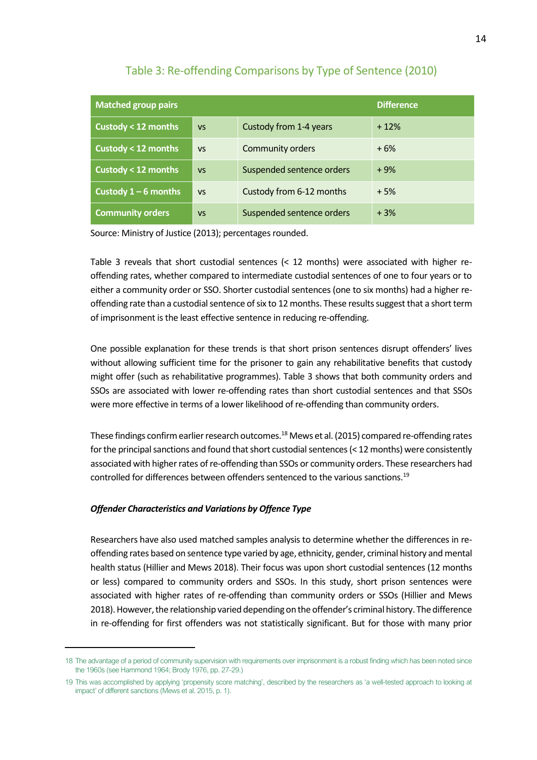| <b>Matched group pairs</b>    |           |                           | <b>Difference</b> |
|-------------------------------|-----------|---------------------------|-------------------|
| Custody < 12 months           | <b>VS</b> | Custody from 1-4 years    | $+12%$            |
| Custody < 12 months           | <b>VS</b> | <b>Community orders</b>   | $+6%$             |
| <b>Custody &lt; 12 months</b> | <b>VS</b> | Suspended sentence orders | $+9%$             |
| Custody $1-6$ months          | <b>VS</b> | Custody from 6-12 months  | $+5%$             |
| <b>Community orders</b>       | <b>VS</b> | Suspended sentence orders | $+3%$             |

#### Table 3: Re-offending Comparisons by Type of Sentence (2010)

Source: Ministry of Justice (2013); percentages rounded.

Table 3 reveals that short custodial sentences (< 12 months) were associated with higher reoffending rates, whether compared to intermediate custodial sentences of one to four years or to either a community order or SSO. Shorter custodial sentences (one to six months) had a higher reoffending rate than a custodial sentence of six to 12 months. These results suggest that a short term of imprisonment is the least effective sentence in reducing re-offending.

One possible explanation for these trends is that short prison sentences disrupt offenders' lives without allowing sufficient time for the prisoner to gain any rehabilitative benefits that custody might offer (such as rehabilitative programmes). Table 3 shows that both community orders and SSOs are associated with lower re-offending rates than short custodial sentences and that SSOs were more effective in terms of a lower likelihood of re-offending than community orders.

These findings confirm earlier research outcomes.<sup>18</sup> Mews et al. (2015) compared re-offending rates for the principal sanctions and found that short custodial sentences(< 12 months) were consistently associated with higher rates of re-offending than SSOs or community orders. These researchers had controlled for differences between offenders sentenced to the various sanctions.<sup>19</sup>

#### *Offender Characteristics and Variations by Offence Type*

Researchers have also used matched samples analysis to determine whether the differences in reoffending rates based on sentence type varied by age, ethnicity, gender, criminal history and mental health status (Hillier and Mews 2018). Their focus was upon short custodial sentences (12 months or less) compared to community orders and SSOs. In this study, short prison sentences were associated with higher rates of re-offending than community orders or SSOs (Hillier and Mews 2018). However, the relationship varied depending on the offender's criminal history. The difference in re-offending for first offenders was not statistically significant. But for those with many prior

<sup>18</sup> The advantage of a period of community supervision with requirements over imprisonment is a robust finding which has been noted since the 1960s (see Hammond 1964; Brody 1976, pp. 27-29.)

<sup>19</sup> This was accomplished by applying 'propensity score matching', described by the researchers as 'a well-tested approach to looking at impact' of different sanctions (Mews et al. 2015, p. 1).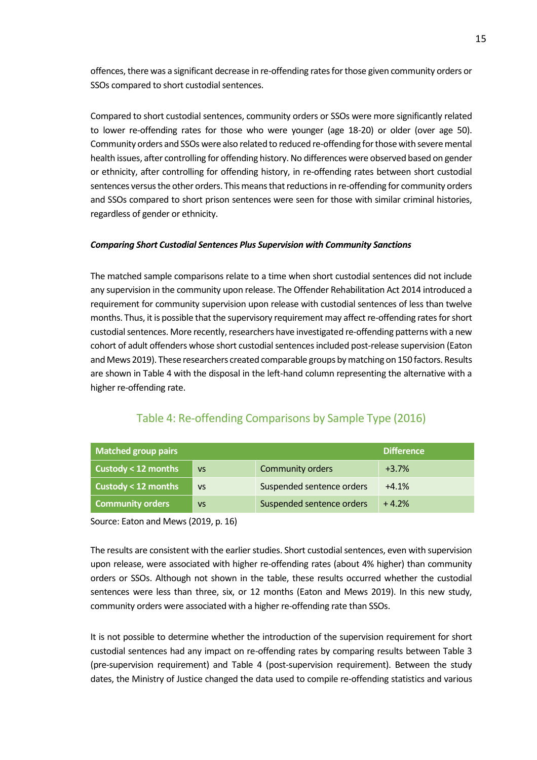offences, there was a significant decrease in re-offending rates for those given community orders or SSOs compared to short custodial sentences.

Compared to short custodial sentences, community orders or SSOs were more significantly related to lower re-offending rates for those who were younger (age 18-20) or older (over age 50). Community orders and SSOs were also related to reduced re-offending for those with severe mental health issues, after controlling for offending history. No differences were observed based on gender or ethnicity, after controlling for offending history, in re-offending rates between short custodial sentences versus the other orders. This means that reductions in re-offending for community orders and SSOs compared to short prison sentences were seen for those with similar criminal histories, regardless of gender or ethnicity.

#### *Comparing Short Custodial Sentences Plus Supervision with Community Sanctions*

The matched sample comparisons relate to a time when short custodial sentences did not include any supervision in the community upon release. The Offender Rehabilitation Act 2014 introduced a requirement for community supervision upon release with custodial sentences of less than twelve months. Thus, it is possible that the supervisory requirement may affect re-offending rates for short custodial sentences. More recently, researchers have investigated re-offending patterns with a new cohort of adult offenders whose short custodial sentencesincluded post-release supervision (Eaton and Mews 2019). These researchers created comparable groups by matching on 150 factors. Results are shown in Table 4 with the disposal in the left-hand column representing the alternative with a higher re-offending rate.

| <b>Matched group pairs</b><br><b>Difference</b> |           |                           |         |
|-------------------------------------------------|-----------|---------------------------|---------|
| Custody < 12 months                             | <b>VS</b> | <b>Community orders</b>   | $+3.7%$ |
| Custody < 12 months                             | <b>VS</b> | Suspended sentence orders | $+4.1%$ |
| <b>Community orders</b>                         | <b>VS</b> | Suspended sentence orders | $+4.2%$ |

#### Table 4: Re-offending Comparisons by Sample Type (2016)

Source: Eaton and Mews (2019, p. 16)

The results are consistent with the earlier studies. Short custodial sentences, even with supervision upon release, were associated with higher re-offending rates (about 4% higher) than community orders or SSOs. Although not shown in the table, these results occurred whether the custodial sentences were less than three, six, or 12 months (Eaton and Mews 2019). In this new study, community orders were associated with a higher re-offending rate than SSOs.

It is not possible to determine whether the introduction of the supervision requirement for short custodial sentences had any impact on re-offending rates by comparing results between Table 3 (pre-supervision requirement) and Table 4 (post-supervision requirement). Between the study dates, the Ministry of Justice changed the data used to compile re-offending statistics and various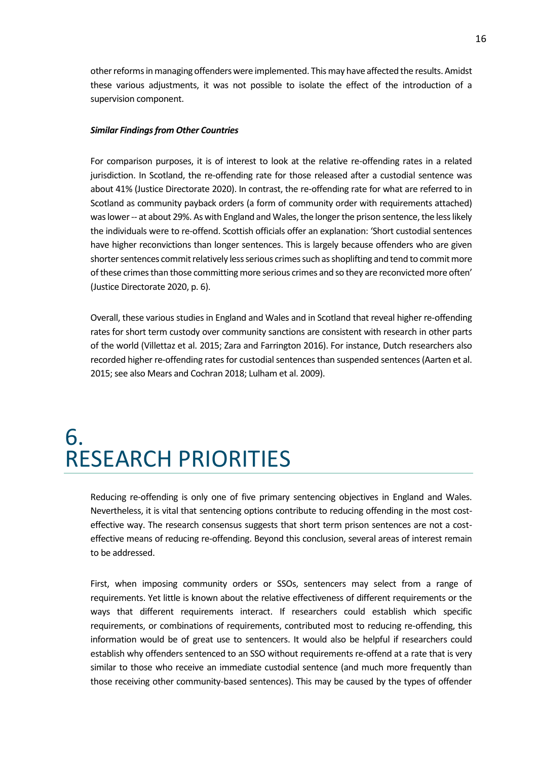other reforms in managing offenders were implemented. This may have affected the results. Amidst these various adjustments, it was not possible to isolate the effect of the introduction of a supervision component.

#### *Similar Findings from Other Countries*

For comparison purposes, it is of interest to look at the relative re-offending rates in a related jurisdiction. In Scotland, the re-offending rate for those released after a custodial sentence was about 41% (Justice Directorate 2020). In contrast, the re-offending rate for what are referred to in Scotland as community payback orders (a form of community order with requirements attached) was lower -- at about 29%. As with England and Wales, the longer the prison sentence, the less likely the individuals were to re-offend. Scottish officials offer an explanation: 'Short custodial sentences have higher reconvictions than longer sentences. This is largely because offenders who are given shorter sentences commit relatively less serious crimes such as shoplifting and tend to commit more of these crimes than those committing more serious crimes and so they are reconvicted more often' (Justice Directorate 2020, p. 6).

Overall, these various studies in England and Wales and in Scotland that reveal higher re-offending rates for short term custody over community sanctions are consistent with research in other parts of the world (Villettaz et al. 2015; Zara and Farrington 2016). For instance, Dutch researchers also recorded higher re-offending rates for custodial sentences than suspended sentences (Aarten et al. 2015; see also Mears and Cochran 2018; Lulham et al. 2009).

### <span id="page-15-0"></span>6. RESEARCH PRIORITIES

Reducing re-offending is only one of five primary sentencing objectives in England and Wales. Nevertheless, it is vital that sentencing options contribute to reducing offending in the most costeffective way. The research consensus suggests that short term prison sentences are not a costeffective means of reducing re-offending. Beyond this conclusion, several areas of interest remain to be addressed.

First, when imposing community orders or SSOs, sentencers may select from a range of requirements. Yet little is known about the relative effectiveness of different requirements or the ways that different requirements interact. If researchers could establish which specific requirements, or combinations of requirements, contributed most to reducing re-offending, this information would be of great use to sentencers. It would also be helpful if researchers could establish why offenders sentenced to an SSO without requirements re-offend at a rate that is very similar to those who receive an immediate custodial sentence (and much more frequently than those receiving other community-based sentences). This may be caused by the types of offender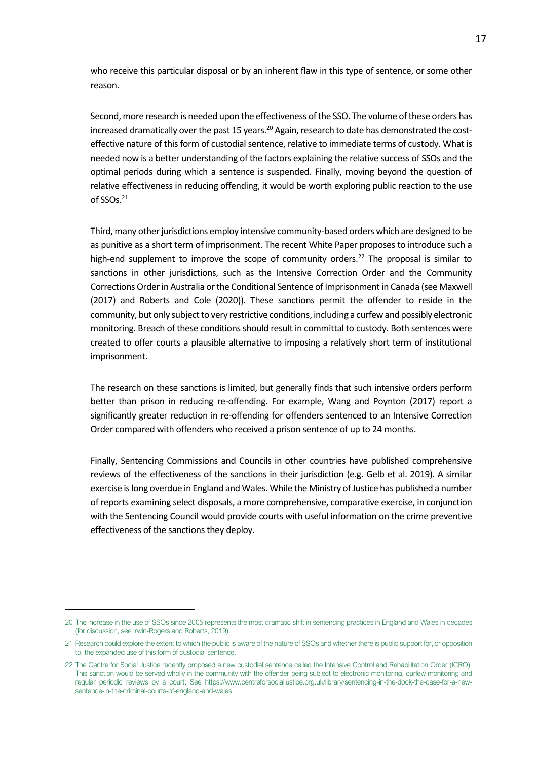who receive this particular disposal or by an inherent flaw in this type of sentence, or some other reason.

Second, more research is needed upon the effectiveness of the SSO. The volume of these orders has increased dramatically over the past 15 years.<sup>20</sup> Again, research to date has demonstrated the costeffective nature of this form of custodial sentence, relative to immediate terms of custody. What is needed now is a better understanding of the factors explaining the relative success of SSOs and the optimal periods during which a sentence is suspended. Finally, moving beyond the question of relative effectiveness in reducing offending, it would be worth exploring public reaction to the use of SSOs. 21

Third, many other jurisdictions employ intensive community-based orders which are designed to be as punitive as a short term of imprisonment. The recent White Paper proposes to introduce such a high-end supplement to improve the scope of community orders.<sup>22</sup> The proposal is similar to sanctions in other jurisdictions, such as the Intensive Correction Order and the Community Corrections Order in Australia or the Conditional Sentence of Imprisonment in Canada (see Maxwell (2017) and Roberts and Cole (2020)). These sanctions permit the offender to reside in the community, but only subject to very restrictive conditions, including a curfew and possibly electronic monitoring. Breach of these conditions should result in committal to custody. Both sentences were created to offer courts a plausible alternative to imposing a relatively short term of institutional imprisonment.

The research on these sanctions is limited, but generally finds that such intensive orders perform better than prison in reducing re-offending. For example, Wang and Poynton (2017) report a significantly greater reduction in re-offending for offenders sentenced to an Intensive Correction Order compared with offenders who received a prison sentence of up to 24 months.

Finally, Sentencing Commissions and Councils in other countries have published comprehensive reviews of the effectiveness of the sanctions in their jurisdiction (e.g. Gelb et al. 2019). A similar exercise is long overdue in England and Wales. While the Ministry of Justice has published a number of reports examining select disposals, a more comprehensive, comparative exercise, in conjunction with the Sentencing Council would provide courts with useful information on the crime preventive effectiveness of the sanctions they deploy.

<sup>20</sup> The increase in the use of SSOs since 2005 represents the most dramatic shift in sentencing practices in England and Wales in decades (for discussion, see Irwin-Rogers and Roberts, 2019).

<sup>21</sup> Research could explore the extent to which the public is aware of the nature of SSOs and whether there is public support for, or opposition to, the expanded use of this form of custodial sentence.

<sup>22</sup> The Centre for Social Justice recently proposed a new custodial sentence called the Intensive Control and Rehabilitation Order (ICRO). This sanction would be served wholly in the community with the offender being subject to electronic monitoring, curfew monitoring and regular periodic reviews by a court; See [https://www.centreforsocialjustice.org.uk/library/sentencing-in-the-dock-the-case-for-a-new](https://www.centreforsocialjustice.org.uk/library/sentencing-in-the-dock-the-case-for-a-new-sentence-in-the-criminal-courts-of-england-and-wales)[sentence-in-the-criminal-courts-of-england-and-wales.](https://www.centreforsocialjustice.org.uk/library/sentencing-in-the-dock-the-case-for-a-new-sentence-in-the-criminal-courts-of-england-and-wales)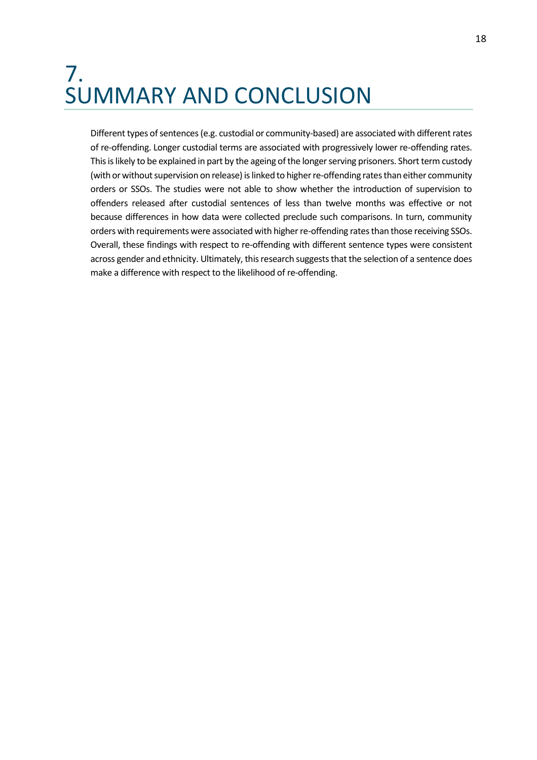### <span id="page-17-0"></span>7. SUMMARY AND CONCLUSION

Different types of sentences (e.g. custodial or community-based) are associated with different rates of re-offending. Longer custodial terms are associated with progressively lower re-offending rates. This is likely to be explained in part by the ageing of the longer serving prisoners. Short term custody (with or without supervision on release) is linked to higher re-offending rates than either community orders or SSOs. The studies were not able to show whether the introduction of supervision to offenders released after custodial sentences of less than twelve months was effective or not because differences in how data were collected preclude such comparisons. In turn, community orders with requirements were associated with higher re-offending rates than those receiving SSOs. Overall, these findings with respect to re-offending with different sentence types were consistent across gender and ethnicity. Ultimately, this research suggests that the selection of a sentence does make a difference with respect to the likelihood of re-offending.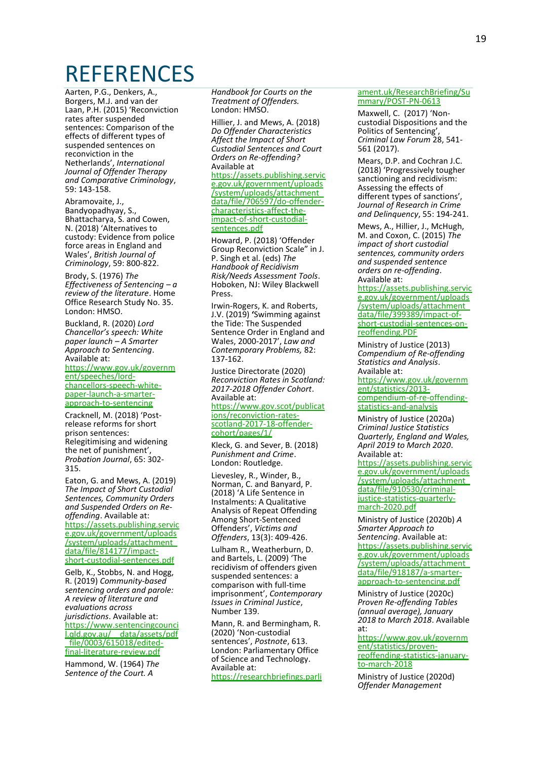### <span id="page-18-0"></span>**REFERENCES**

Aarten, P.G., Denkers, A., Borgers, M.J. and van der Laan, P.H. (2015) 'Reconviction rates after suspended sentences: Comparison of the effects of different types of suspended sentences on reconviction in the Netherlands', *International Journal of Offender Therapy and Comparative Criminology*, 59: 143-158.

Abramovaite, J., Bandyopadhyay, S., Bhattacharya, S. and Cowen, N. (2018) 'Alternatives to custody: Evidence from police force areas in England and Wales', *British Journal of Criminology*, 59: 800-822.

Brody, S. (1976) *The Effectiveness of Sentencing – a review of the literature*. Home Office Research Study No. 35. London: HMSO.

Buckland, R. (2020) *Lord Chancellor's speech: White paper launch – A Smarter Approach to Sentencing*. Available at: [https://www.gov.uk/governm](https://www.gov.uk/government/speeches/lord-chancellors-speech-white-paper-launch-a-smarter-approach-to-sentencing) [ent/speeches/lord](https://www.gov.uk/government/speeches/lord-chancellors-speech-white-paper-launch-a-smarter-approach-to-sentencing)[chancellors-speech-white](https://www.gov.uk/government/speeches/lord-chancellors-speech-white-paper-launch-a-smarter-approach-to-sentencing)[paper-launch-a-smarter](https://www.gov.uk/government/speeches/lord-chancellors-speech-white-paper-launch-a-smarter-approach-to-sentencing)[approach-to-sentencing](https://www.gov.uk/government/speeches/lord-chancellors-speech-white-paper-launch-a-smarter-approach-to-sentencing)

Cracknell, M. (2018) 'Postrelease reforms for short prison sentences: Relegitimising and widening the net of punishment', *Probation Journal*, 65: 302- 315.

Eaton, G. and Mews, A. (2019) *The Impact of Short Custodial Sentences, Community Orders and Suspended Orders on Reoffending*. Available at: [https://assets.publishing.servic](https://assets.publishing.service.gov.uk/government/uploads/system/uploads/attachment_data/file/814177/impact-short-custodial-sentences.pdf) [e.gov.uk/government/uploads](https://assets.publishing.service.gov.uk/government/uploads/system/uploads/attachment_data/file/814177/impact-short-custodial-sentences.pdf) [/system/uploads/attachment\\_](https://assets.publishing.service.gov.uk/government/uploads/system/uploads/attachment_data/file/814177/impact-short-custodial-sentences.pdf) [data/file/814177/impact](https://assets.publishing.service.gov.uk/government/uploads/system/uploads/attachment_data/file/814177/impact-short-custodial-sentences.pdf)[short-custodial-sentences.pdf](https://assets.publishing.service.gov.uk/government/uploads/system/uploads/attachment_data/file/814177/impact-short-custodial-sentences.pdf)

Gelb, K., Stobbs, N. and Hogg, R. (2019) *Community-based sentencing orders and parole: A review of literature and evaluations across jurisdictions*. Available at: [https://www.sentencingcounci](https://www.sentencingcouncil.qld.gov.au/__data/assets/pdf_file/0003/615018/edited-final-literature-review.pdf) [l.qld.gov.au/\\_\\_data/assets/pdf](https://www.sentencingcouncil.qld.gov.au/__data/assets/pdf_file/0003/615018/edited-final-literature-review.pdf) [\\_file/0003/615018/edited](https://www.sentencingcouncil.qld.gov.au/__data/assets/pdf_file/0003/615018/edited-final-literature-review.pdf)[final-literature-review.pdf](https://www.sentencingcouncil.qld.gov.au/__data/assets/pdf_file/0003/615018/edited-final-literature-review.pdf)

Hammond, W. (1964) *The Sentence of the Court. A* 

*Handbook for Courts on the Treatment of Offenders.* London: HMSO.

Hillier, J. and Mews, A. (2018) *Do Offender Characteristics Affect the Impact of Short Custodial Sentences and Court Orders on Re-offending?* Available at [https://assets.publishing.servic](https://assets.publishing.service.gov.uk/government/uploads/system/uploads/attachment_data/file/706597/do-offender-characteristics-affect-the-impact-of-short-custodial-sentences.pdf) [e.gov.uk/government/uploads](https://assets.publishing.service.gov.uk/government/uploads/system/uploads/attachment_data/file/706597/do-offender-characteristics-affect-the-impact-of-short-custodial-sentences.pdf) [/system/uploads/attachment\\_](https://assets.publishing.service.gov.uk/government/uploads/system/uploads/attachment_data/file/706597/do-offender-characteristics-affect-the-impact-of-short-custodial-sentences.pdf) [data/file/706597/do-offender](https://assets.publishing.service.gov.uk/government/uploads/system/uploads/attachment_data/file/706597/do-offender-characteristics-affect-the-impact-of-short-custodial-sentences.pdf)[characteristics-affect-the](https://assets.publishing.service.gov.uk/government/uploads/system/uploads/attachment_data/file/706597/do-offender-characteristics-affect-the-impact-of-short-custodial-sentences.pdf)[impact-of-short-custodial](https://assets.publishing.service.gov.uk/government/uploads/system/uploads/attachment_data/file/706597/do-offender-characteristics-affect-the-impact-of-short-custodial-sentences.pdf)[sentences.pdf](https://assets.publishing.service.gov.uk/government/uploads/system/uploads/attachment_data/file/706597/do-offender-characteristics-affect-the-impact-of-short-custodial-sentences.pdf)

Howard, P. (2018) 'Offender Group Reconviction Scale" in J. P. Singh et al. (eds) *The Handbook of Recidivism Risk/Needs Assessment Tools*. Hoboken, NJ: Wiley Blackwell Press.

Irwin-Rogers, K. and Roberts, J.V. (2019) **'**Swimming against the Tide: The Suspended Sentence Order in England and Wales, 2000-2017', *Law and Contemporary Problems,* 82: 137-162.

Justice Directorate (2020) *Reconviction Rates in Scotland: 2017-2018 Offender Cohort*. Available at:

[https://www.gov.scot/publicat](https://www.gov.scot/publications/reconviction-rates-scotland-2017-18-offender-cohort/pages/1/) [ions/reconviction-rates](https://www.gov.scot/publications/reconviction-rates-scotland-2017-18-offender-cohort/pages/1/)[scotland-2017-18-offender](https://www.gov.scot/publications/reconviction-rates-scotland-2017-18-offender-cohort/pages/1/)[cohort/pages/1/](https://www.gov.scot/publications/reconviction-rates-scotland-2017-18-offender-cohort/pages/1/)

Kleck, G. and Sever, B. (2018) *Punishment and Crime*. London: Routledge.

Lievesley, R., Winder, B., Norman, C. and Banyard, P. (2018) 'A Life Sentence in Instalments: A Qualitative Analysis of Repeat Offending Among Short-Sentenced Offenders', *Victims and Offenders*, 13(3): 409-426.

Lulham R., Weatherburn, D. and Bartels, L. (2009) 'The recidivism of offenders given suspended sentences: a comparison with full-time imprisonment', *Contemporary Issues in Criminal Justice*, Number 139.

Mann, R. and Bermingham, R. (2020) 'Non-custodial sentences', *Postnote*, 613. London: Parliamentary Office of Science and Technology. Available at: [https://researchbriefings.parli](https://researchbriefings.parliament.uk/ResearchBriefing/Summary/POST-PN-0613)

#### [ament.uk/ResearchBriefing/Su](https://researchbriefings.parliament.uk/ResearchBriefing/Summary/POST-PN-0613) [mmary/POST-PN-0613](https://researchbriefings.parliament.uk/ResearchBriefing/Summary/POST-PN-0613)

Maxwell, C. (2017) 'Noncustodial Dispositions and the Politics of Sentencing', *Criminal Law Forum* 28, 541- 561 (2017).

Mears, D.P. and Cochran J.C. (2018) 'Progressively tougher sanctioning and recidivism: Assessing the effects of different types of sanctions', *Journal of Research in Crime and Delinquency*, 55: 194-241.

Mews, A., Hillier, J., McHugh, M. and Coxon, C. (2015) *The impact of short custodial sentences, community orders and suspended sentence orders on re-offending*. Available at:

[https://assets.publishing.servic](https://assets.publishing.service.gov.uk/government/uploads/system/uploads/attachment_data/file/399389/impact-of-short-custodial-sentences-on-reoffending.PDF) [e.gov.uk/government/uploads](https://assets.publishing.service.gov.uk/government/uploads/system/uploads/attachment_data/file/399389/impact-of-short-custodial-sentences-on-reoffending.PDF) [/system/uploads/attachment\\_](https://assets.publishing.service.gov.uk/government/uploads/system/uploads/attachment_data/file/399389/impact-of-short-custodial-sentences-on-reoffending.PDF) [data/file/399389/impact-of](https://assets.publishing.service.gov.uk/government/uploads/system/uploads/attachment_data/file/399389/impact-of-short-custodial-sentences-on-reoffending.PDF)[short-custodial-sentences-on](https://assets.publishing.service.gov.uk/government/uploads/system/uploads/attachment_data/file/399389/impact-of-short-custodial-sentences-on-reoffending.PDF)[reoffending.PDF](https://assets.publishing.service.gov.uk/government/uploads/system/uploads/attachment_data/file/399389/impact-of-short-custodial-sentences-on-reoffending.PDF)

Ministry of Justice (2013) *Compendium of Re-offending Statistics and Analysis*. Available at:

[https://www.gov.uk/governm](https://www.gov.uk/government/statistics/2013-compendium-of-re-offending-statistics-and-analysis) [ent/statistics/2013](https://www.gov.uk/government/statistics/2013-compendium-of-re-offending-statistics-and-analysis) [compendium-of-re-offending](https://www.gov.uk/government/statistics/2013-compendium-of-re-offending-statistics-and-analysis)[statistics-and-analysis](https://www.gov.uk/government/statistics/2013-compendium-of-re-offending-statistics-and-analysis)

Ministry of Justice (2020a) *Criminal Justice Statistics Quarterly, England and Wales, April 2019 to March 2020*. Available at:

[https://assets.publishing.servic](https://assets.publishing.service.gov.uk/government/uploads/system/uploads/attachment_data/file/910530/criminal-justice-statistics-quarterly-march-2020.pdf) [e.gov.uk/government/uploads](https://assets.publishing.service.gov.uk/government/uploads/system/uploads/attachment_data/file/910530/criminal-justice-statistics-quarterly-march-2020.pdf) [/system/uploads/attachment\\_](https://assets.publishing.service.gov.uk/government/uploads/system/uploads/attachment_data/file/910530/criminal-justice-statistics-quarterly-march-2020.pdf) [data/file/910530/criminal](https://assets.publishing.service.gov.uk/government/uploads/system/uploads/attachment_data/file/910530/criminal-justice-statistics-quarterly-march-2020.pdf)[justice-statistics-quarterly](https://assets.publishing.service.gov.uk/government/uploads/system/uploads/attachment_data/file/910530/criminal-justice-statistics-quarterly-march-2020.pdf)[march-2020.pdf](https://assets.publishing.service.gov.uk/government/uploads/system/uploads/attachment_data/file/910530/criminal-justice-statistics-quarterly-march-2020.pdf)

Ministry of Justice (2020b) *A Smarter Approach to Sentencing*. Available at: [https://assets.publishing.servic](https://assets.publishing.service.gov.uk/government/uploads/system/uploads/attachment_data/file/918187/a-smarter-approach-to-sentencing.pdf) [e.gov.uk/government/uploads](https://assets.publishing.service.gov.uk/government/uploads/system/uploads/attachment_data/file/918187/a-smarter-approach-to-sentencing.pdf) [/system/uploads/attachment\\_](https://assets.publishing.service.gov.uk/government/uploads/system/uploads/attachment_data/file/918187/a-smarter-approach-to-sentencing.pdf) [data/file/918187/a-smarter](https://assets.publishing.service.gov.uk/government/uploads/system/uploads/attachment_data/file/918187/a-smarter-approach-to-sentencing.pdf)[approach-to-sentencing.pdf](https://assets.publishing.service.gov.uk/government/uploads/system/uploads/attachment_data/file/918187/a-smarter-approach-to-sentencing.pdf)

Ministry of Justice (2020c) *Proven Re-offending Tables (annual average), January 2018 to March 2018*. Available at:

[https://www.gov.uk/governm](https://www.gov.uk/government/statistics/proven-reoffending-statistics-january-to-march-2018) [ent/statistics/proven](https://www.gov.uk/government/statistics/proven-reoffending-statistics-january-to-march-2018)[reoffending-statistics-january](https://www.gov.uk/government/statistics/proven-reoffending-statistics-january-to-march-2018)[to-march-2018](https://www.gov.uk/government/statistics/proven-reoffending-statistics-january-to-march-2018)

Ministry of Justice (2020d) *Offender Management*